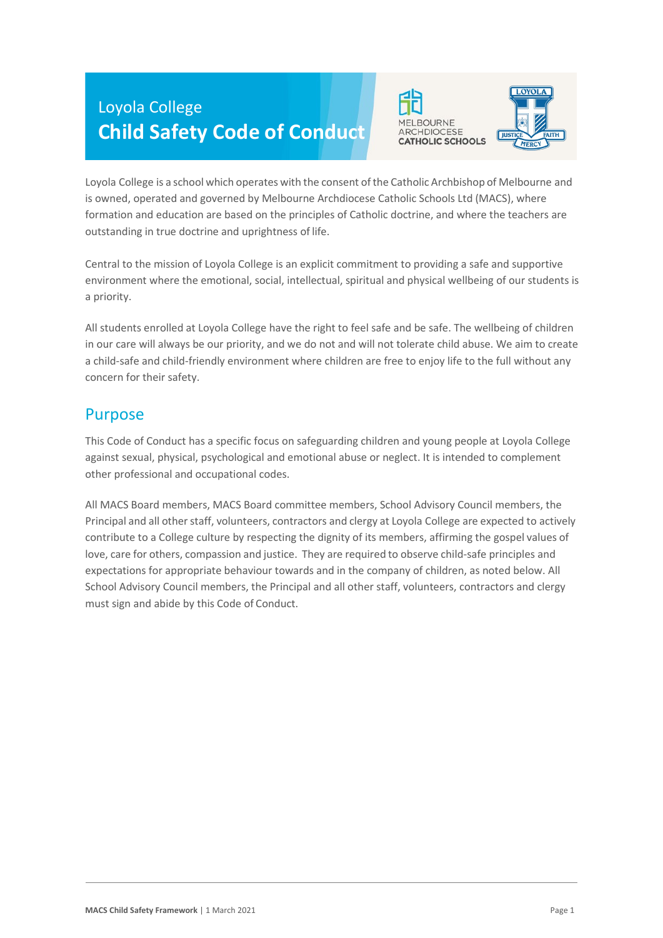# Loyola College **Child Safety Code of Conduct**





Loyola College is a school which operates with the consent of the Catholic Archbishop of Melbourne and is owned, operated and governed by Melbourne Archdiocese Catholic Schools Ltd (MACS), where formation and education are based on the principles of Catholic doctrine, and where the teachers are outstanding in true doctrine and uprightness of life.

Central to the mission of Loyola College is an explicit commitment to providing a safe and supportive environment where the emotional, social, intellectual, spiritual and physical wellbeing of our students is a priority.

All students enrolled at Loyola College have the right to feel safe and be safe. The wellbeing of children in our care will always be our priority, and we do not and will not tolerate child abuse. We aim to create a child-safe and child-friendly environment where children are free to enjoy life to the full without any concern for their safety.

#### Purpose

This Code of Conduct has a specific focus on safeguarding children and young people at Loyola College against sexual, physical, psychological and emotional abuse or neglect. It is intended to complement other professional and occupational codes.

All MACS Board members, MACS Board committee members, School Advisory Council members, the Principal and all other staff, volunteers, contractors and clergy at Loyola College are expected to actively contribute to a College culture by respecting the dignity of its members, affirming the gospel values of love, care for others, compassion and justice. They are required to observe child-safe principles and expectations for appropriate behaviour towards and in the company of children, as noted below. All School Advisory Council members, the Principal and all other staff, volunteers, contractors and clergy must sign and abide by this Code of Conduct.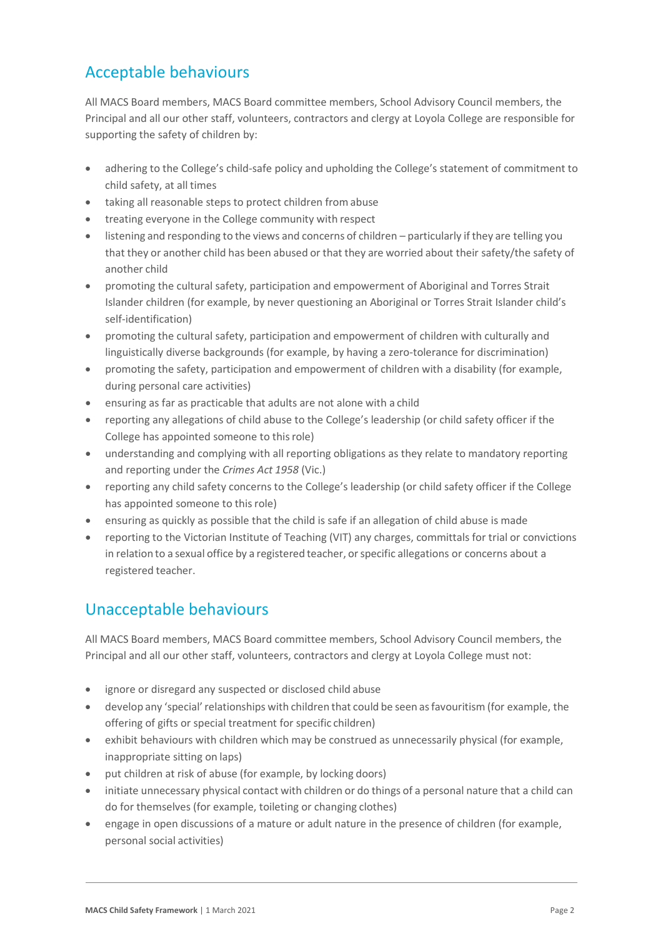# Acceptable behaviours

All MACS Board members, MACS Board committee members, School Advisory Council members, the Principal and all our other staff, volunteers, contractors and clergy at Loyola College are responsible for supporting the safety of children by:

- adhering to the College's child-safe policy and upholding the College's statement of commitment to child safety, at all times
- taking all reasonable steps to protect children from abuse
- treating everyone in the College community with respect
- listening and responding to the views and concerns of children particularly if they are telling you that they or another child has been abused or that they are worried about their safety/the safety of another child
- promoting the cultural safety, participation and empowerment of Aboriginal and Torres Strait Islander children (for example, by never questioning an Aboriginal or Torres Strait Islander child's self-identification)
- promoting the cultural safety, participation and empowerment of children with culturally and linguistically diverse backgrounds (for example, by having a zero-tolerance for discrimination)
- promoting the safety, participation and empowerment of children with a disability (for example, during personal care activities)
- ensuring as far as practicable that adults are not alone with a child
- reporting any allegations of child abuse to the College's leadership (or child safety officer if the College has appointed someone to thisrole)
- understanding and complying with all reporting obligations as they relate to mandatory reporting and reporting under the *Crimes Act 1958* (Vic.)
- reporting any child safety concerns to the College's leadership (or child safety officer if the College has appointed someone to this role)
- ensuring as quickly as possible that the child is safe if an allegation of child abuse is made
- reporting to the Victorian Institute of Teaching (VIT) any charges, committals for trial or convictions in relation to a sexual office by a registered teacher, orspecific allegations or concerns about a registered teacher.

## Unacceptable behaviours

All MACS Board members, MACS Board committee members, School Advisory Council members, the Principal and all our other staff, volunteers, contractors and clergy at Loyola College must not:

- ignore or disregard any suspected or disclosed child abuse
- develop any 'special'relationships with children that could be seen asfavouritism (for example, the offering of gifts or special treatment for specific children)
- exhibit behaviours with children which may be construed as unnecessarily physical (for example, inappropriate sitting on laps)
- put children at risk of abuse (for example, by locking doors)
- initiate unnecessary physical contact with children or do things of a personal nature that a child can do for themselves (for example, toileting or changing clothes)
- engage in open discussions of a mature or adult nature in the presence of children (for example, personal social activities)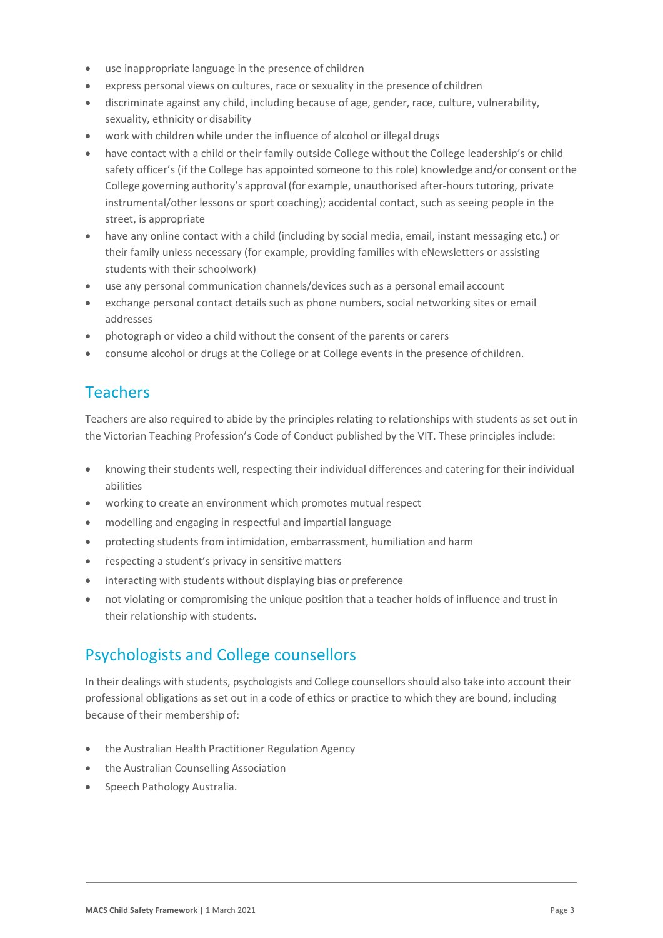- use inappropriate language in the presence of children
- express personal views on cultures, race or sexuality in the presence of children
- discriminate against any child, including because of age, gender, race, culture, vulnerability, sexuality, ethnicity or disability
- work with children while under the influence of alcohol or illegal drugs
- have contact with a child or their family outside College without the College leadership's or child safety officer's (if the College has appointed someone to this role) knowledge and/or consent orthe College governing authority's approval (for example, unauthorised after-hours tutoring, private instrumental/other lessons or sport coaching); accidental contact, such as seeing people in the street, is appropriate
- have any online contact with a child (including by social media, email, instant messaging etc.) or their family unless necessary (for example, providing families with eNewsletters or assisting students with their schoolwork)
- use any personal communication channels/devices such as a personal email account
- exchange personal contact details such as phone numbers, social networking sites or email addresses
- photograph or video a child without the consent of the parents or carers
- consume alcohol or drugs at the College or at College events in the presence of children.

## Teachers

Teachers are also required to abide by the principles relating to relationships with students as set out in the Victorian Teaching Profession's Code of Conduct published by the VIT. These principles include:

- knowing their students well, respecting their individual differences and catering for their individual abilities
- working to create an environment which promotes mutual respect
- modelling and engaging in respectful and impartial language
- protecting students from intimidation, embarrassment, humiliation and harm
- respecting a student's privacy in sensitive matters
- interacting with students without displaying bias or preference
- not violating or compromising the unique position that a teacher holds of influence and trust in their relationship with students.

#### Psychologists and College counsellors

In their dealings with students, psychologists and College counsellorsshould also take into account their professional obligations as set out in a code of ethics or practice to which they are bound, including because of their membership of:

- the Australian Health Practitioner Regulation Agency
- the Australian Counselling Association
- Speech Pathology Australia.